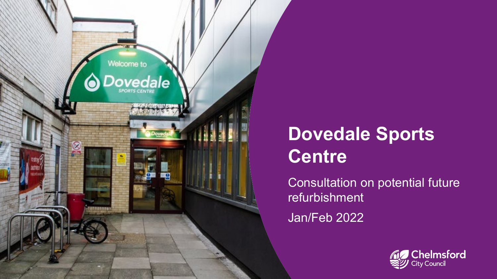

# **Dovedale Sports Centre**

Consultation on potential future refurbishment Jan/Feb 2022

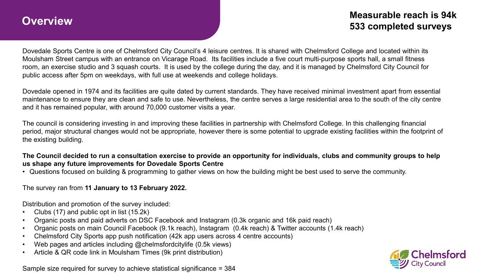## **Overview**

### **Measurable reach is 94k 533 completed surveys**

Dovedale Sports Centre is one of Chelmsford City Council's 4 leisure centres. It is shared with Chelmsford College and located within its Moulsham Street campus with an entrance on Vicarage Road. Its facilities include a five court multi-purpose sports hall, a small fitness room, an exercise studio and 3 squash courts. It is used by the college during the day, and it is managed by Chelmsford City Council for public access after 5pm on weekdays, with full use at weekends and college holidays.

Dovedale opened in 1974 and its facilities are quite dated by current standards. They have received minimal investment apart from essential maintenance to ensure they are clean and safe to use. Nevertheless, the centre serves a large residential area to the south of the city centre and it has remained popular, with around 70,000 customer visits a year.

The council is considering investing in and improving these facilities in partnership with Chelmsford College. In this challenging financial period, major structural changes would not be appropriate, however there is some potential to upgrade existing facilities within the footprint of the existing building.

**The Council decided to run a consultation exercise to provide an opportunity for individuals, clubs and community groups to help us shape any future improvements for Dovedale Sports Centre**

• Questions focused on building & programming to gather views on how the building might be best used to serve the community.

The survey ran from **11 January to 13 February 2022.**

Distribution and promotion of the survey included:

- Clubs (17) and public opt in list (15.2k)
- Organic posts and paid adverts on DSC Facebook and Instagram (0.3k organic and 16k paid reach)
- Organic posts on main Council Facebook (9.1k reach), Instagram (0.4k reach) & Twitter accounts (1.4k reach)
- Chelmsford City Sports app push notification (42k app users across 4 centre accounts)
- Web pages and articles including @chelmsfordcitylife (0.5k views)
- Article & QR code link in Moulsham Times (9k print distribution)

Sample size required for survey to achieve statistical significance = 384

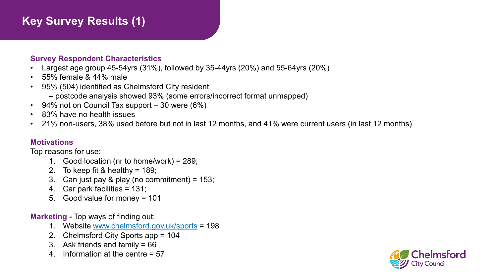## **Key Survey Results (1)**

#### **Survey Respondent Characteristics**

- Largest age group 45-54yrs (31%), followed by 35-44yrs (20%) and 55-64yrs (20%)
- 55% female & 44% male
- 95% (504) identified as Chelmsford City resident
	- postcode analysis showed 93% (some errors/incorrect format unmapped)
- 94% not on Council Tax support  $-30$  were (6%)
- 83% have no health issues
- 21% non-users, 38% used before but not in last 12 months, and 41% were current users (in last 12 months)

#### **Motivations**

Top reasons for use:

- 1. Good location (nr to home/work) = 289;
- 2. To keep fit & healthy =  $189$ ;
- 3. Can just pay & play (no commitment) = 153;
- 4. Car park facilities = 131;
- 5. Good value for money = 101

#### **Marketing -** Top ways of finding out:

- 1. Website [www.chelmsford.gov.uk/sports](http://www.chelmsford.gov.uk/sports) = 198
- 2. Chelmsford City Sports app = 104
- 3. Ask friends and family = 66
- 4. Information at the centre = 57

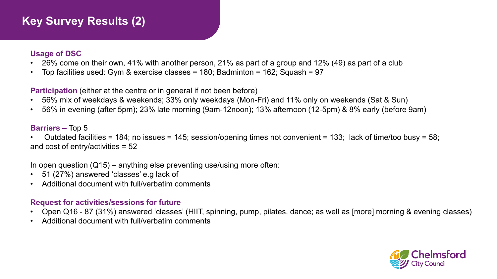## **Key Survey Results (2)**

#### **Usage of DSC**

- 26% come on their own, 41% with another person, 21% as part of a group and 12% (49) as part of a club
- Top facilities used: Gym & exercise classes = 180; Badminton = 162; Squash = 97

**Participation** (either at the centre or in general if not been before)

- 56% mix of weekdays & weekends; 33% only weekdays (Mon-Fri) and 11% only on weekends (Sat & Sun)
- 56% in evening (after 5pm); 23% late morning (9am-12noon); 13% afternoon (12-5pm) & 8% early (before 9am)

#### **Barriers –** Top 5

• Outdated facilities = 184; no issues = 145; session/opening times not convenient = 133; lack of time/too busy = 58; and cost of entry/activities = 52

In open question  $(Q15)$  – anything else preventing use/using more often:

- 51 (27%) answered 'classes' e.g lack of
- Additional document with full/verbatim comments

#### **Request for activities/sessions for future**

- Open Q16 87 (31%) answered 'classes' (HIIT, spinning, pump, pilates, dance; as well as [more] morning & evening classes)
- Additional document with full/verbatim comments

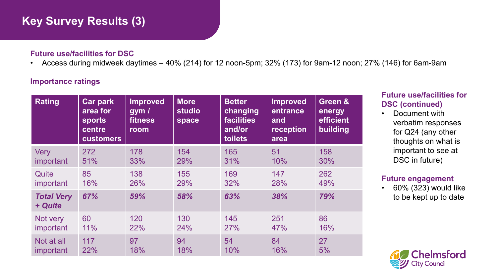## **Key Survey Results (3)**

#### **Future use/facilities for DSC**

• Access during midweek daytimes – 40% (214) for 12 noon-5pm; 32% (173) for 9am-12 noon; 27% (146) for 6am-9am

#### **Importance ratings**

| <b>Rating</b>                | <b>Car park</b><br>area for<br>sports<br>centre<br><b>customers</b> | <b>Improved</b><br>gym/<br>fitness<br>room | <b>More</b><br><b>studio</b><br>space | <b>Better</b><br>changing<br><b>facilities</b><br>and/or<br>toilets | <b>Improved</b><br>entrance<br>and<br>reception<br>area | Green &<br>energy<br>efficient<br>building |
|------------------------------|---------------------------------------------------------------------|--------------------------------------------|---------------------------------------|---------------------------------------------------------------------|---------------------------------------------------------|--------------------------------------------|
| Very                         | 272                                                                 | 178                                        | 154                                   | 165                                                                 | 51                                                      | 158                                        |
| important                    | 51%                                                                 | 33%                                        | 29%                                   | 31%                                                                 | 10%                                                     | 30%                                        |
| Quite                        | 85                                                                  | 138                                        | 155                                   | 169                                                                 | 147                                                     | 262                                        |
| important                    | 16%                                                                 | 26%                                        | 29%                                   | 32%                                                                 | 28%                                                     | 49%                                        |
| <b>Total Very</b><br>+ Quite | 67%                                                                 | 59%                                        | 58%                                   | 63%                                                                 | 38%                                                     | 79%                                        |
| Not very                     | 60                                                                  | 120                                        | 130                                   | 145                                                                 | 251                                                     | 86                                         |
| important                    | 11%                                                                 | 22%                                        | 24%                                   | 27%                                                                 | 47%                                                     | 16%                                        |
| Not at all                   | 117                                                                 | 97                                         | 94                                    | 54                                                                  | 84                                                      | 27                                         |
| <i>important</i>             | 22%                                                                 | 18%                                        | 18%                                   | 10%                                                                 | 16%                                                     | 5%                                         |

#### **Future use/facilities for DSC (continued)**

• Document with verbatim responses for Q24 (any other thoughts on what is important to see at DSC in future)

#### **Future engagement**

• 60% (323) would like to be kept up to date

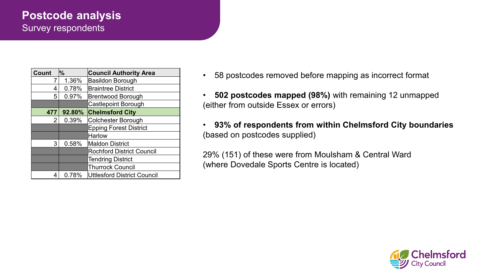## **Postcode analysis**  Survey respondents

| <b>Count</b>                            | $\%$                            | <b>Council Authority Area</b>    |  |
|-----------------------------------------|---------------------------------|----------------------------------|--|
| 7                                       | 1.36%                           | <b>Basildon Borough</b>          |  |
| 4                                       | 0.78%                           | <b>Braintree District</b>        |  |
| 5                                       | 0.97%                           | <b>Brentwood Borough</b>         |  |
|                                         |                                 | <b>Castlepoint Borough</b>       |  |
| <b>Chelmsford City</b><br>92.80%<br>477 |                                 |                                  |  |
| 2                                       | 0.39%                           | Colchester Borough               |  |
|                                         |                                 | <b>Epping Forest District</b>    |  |
|                                         |                                 | <b>Harlow</b>                    |  |
| 3                                       | 0.58%<br><b>Maldon District</b> |                                  |  |
|                                         |                                 | <b>Rochford District Council</b> |  |
|                                         |                                 | <b>Tendring District</b>         |  |
|                                         |                                 | <b>Thurrock Council</b>          |  |
| 4                                       | 0.78%                           | Uttlesford District Council      |  |

- 58 postcodes removed before mapping as incorrect format
- **502 postcodes mapped (98%)** with remaining 12 unmapped (either from outside Essex or errors)
- **93% of respondents from within Chelmsford City boundaries**  (based on postcodes supplied)

29% (151) of these were from Moulsham & Central Ward (where Dovedale Sports Centre is located)